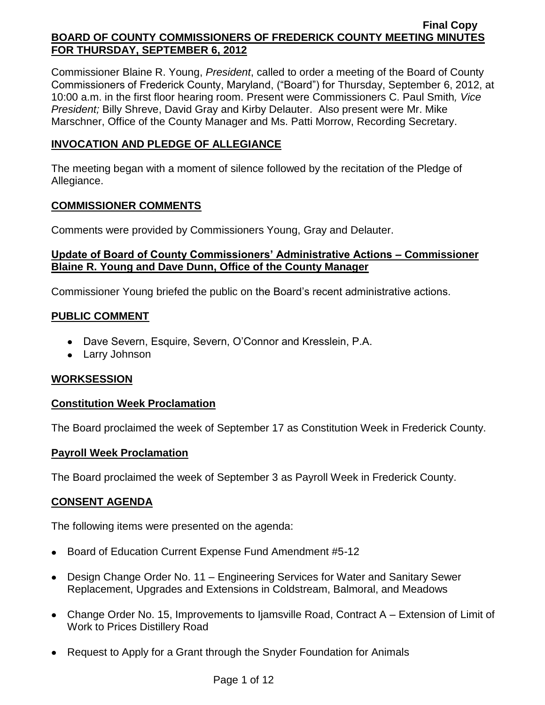Commissioner Blaine R. Young, *President*, called to order a meeting of the Board of County Commissioners of Frederick County, Maryland, ("Board") for Thursday, September 6, 2012, at 10:00 a.m. in the first floor hearing room. Present were Commissioners C. Paul Smith*, Vice President;* Billy Shreve, David Gray and Kirby Delauter. Also present were Mr. Mike Marschner, Office of the County Manager and Ms. Patti Morrow, Recording Secretary.

## **INVOCATION AND PLEDGE OF ALLEGIANCE**

The meeting began with a moment of silence followed by the recitation of the Pledge of Allegiance.

## **COMMISSIONER COMMENTS**

Comments were provided by Commissioners Young, Gray and Delauter.

## **Update of Board of County Commissioners' Administrative Actions – Commissioner Blaine R. Young and Dave Dunn, Office of the County Manager**

Commissioner Young briefed the public on the Board's recent administrative actions.

## **PUBLIC COMMENT**

- Dave Severn, Esquire, Severn, O'Connor and Kresslein, P.A.
- Larry Johnson

## **WORKSESSION**

## **Constitution Week Proclamation**

The Board proclaimed the week of September 17 as Constitution Week in Frederick County.

## **Payroll Week Proclamation**

The Board proclaimed the week of September 3 as Payroll Week in Frederick County.

## **CONSENT AGENDA**

The following items were presented on the agenda:

- Board of Education Current Expense Fund Amendment #5-12
- Design Change Order No. 11 Engineering Services for Water and Sanitary Sewer Replacement, Upgrades and Extensions in Coldstream, Balmoral, and Meadows
- Change Order No. 15, Improvements to Ijamsville Road, Contract A Extension of Limit of Work to Prices Distillery Road
- Request to Apply for a Grant through the Snyder Foundation for Animals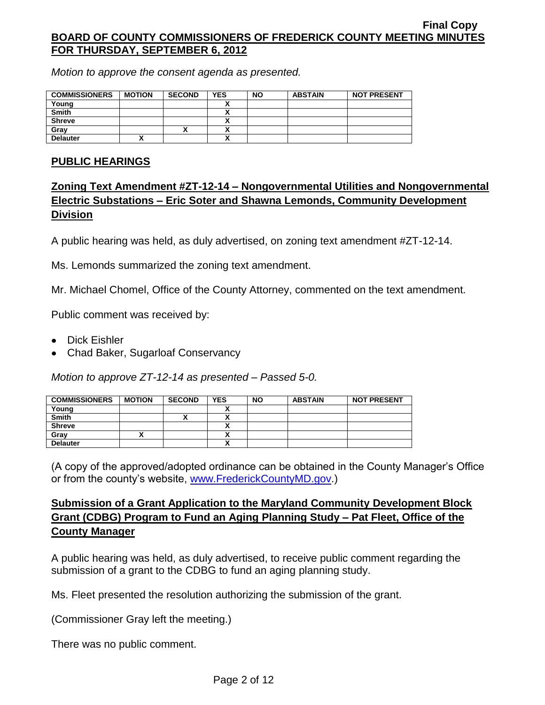*Motion to approve the consent agenda as presented.*

| <b>COMMISSIONERS</b> | <b>MOTION</b> | <b>SECOND</b> | <b>YES</b>               | <b>NO</b> | <b>ABSTAIN</b> | <b>NOT PRESENT</b> |
|----------------------|---------------|---------------|--------------------------|-----------|----------------|--------------------|
| Young                |               |               |                          |           |                |                    |
| <b>Smith</b>         |               |               | ~                        |           |                |                    |
| <b>Shreve</b>        |               |               |                          |           |                |                    |
| Gray                 |               | Λ             | $\overline{\phantom{a}}$ |           |                |                    |
| <b>Delauter</b>      |               |               | $\overline{\phantom{a}}$ |           |                |                    |

## **PUBLIC HEARINGS**

# **Zoning Text Amendment #ZT-12-14 – Nongovernmental Utilities and Nongovernmental Electric Substations – Eric Soter and Shawna Lemonds, Community Development Division**

A public hearing was held, as duly advertised, on zoning text amendment #ZT-12-14.

Ms. Lemonds summarized the zoning text amendment.

Mr. Michael Chomel, Office of the County Attorney, commented on the text amendment.

Public comment was received by:

- Dick Eishler
- Chad Baker, Sugarloaf Conservancy

*Motion to approve ZT-12-14 as presented – Passed 5-0.*

| <b>COMMISSIONERS</b> | <b>MOTION</b> | <b>SECOND</b> | <b>YES</b>           | <b>NO</b> | <b>ABSTAIN</b> | <b>NOT PRESENT</b> |
|----------------------|---------------|---------------|----------------------|-----------|----------------|--------------------|
| Young                |               |               |                      |           |                |                    |
| <b>Smith</b>         |               | ^             |                      |           |                |                    |
| <b>Shreve</b>        |               |               | $\ddot{\phantom{0}}$ |           |                |                    |
| Gray                 |               |               |                      |           |                |                    |
| <b>Delauter</b>      |               |               |                      |           |                |                    |

(A copy of the approved/adopted ordinance can be obtained in the County Manager's Office or from the county's website, [www.FrederickCountyMD.gov.](http://www.frederickcountymd.gov/))

# **Submission of a Grant Application to the Maryland Community Development Block Grant (CDBG) Program to Fund an Aging Planning Study – Pat Fleet, Office of the County Manager**

A public hearing was held, as duly advertised, to receive public comment regarding the submission of a grant to the CDBG to fund an aging planning study.

Ms. Fleet presented the resolution authorizing the submission of the grant.

(Commissioner Gray left the meeting.)

There was no public comment.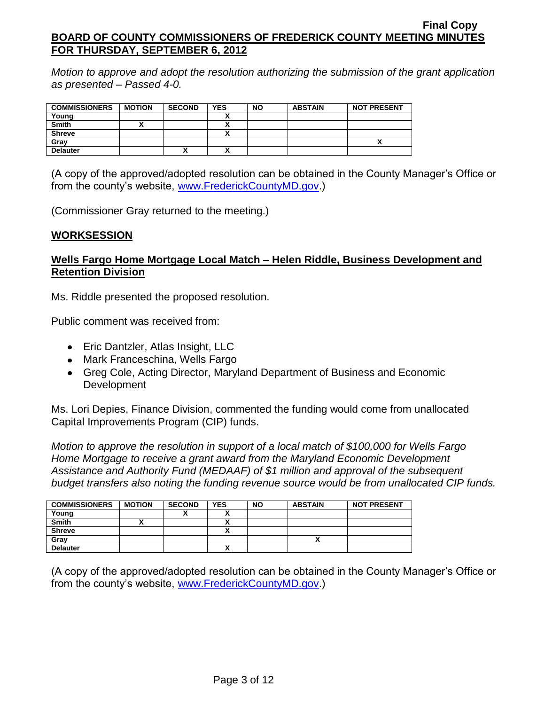*Motion to approve and adopt the resolution authorizing the submission of the grant application as presented – Passed 4-0.*

| <b>COMMISSIONERS</b> | <b>MOTION</b> | <b>SECOND</b> | <b>YES</b>   | <b>NO</b> | <b>ABSTAIN</b> | <b>NOT PRESENT</b> |
|----------------------|---------------|---------------|--------------|-----------|----------------|--------------------|
| Young                |               |               |              |           |                |                    |
| <b>Smith</b>         |               |               |              |           |                |                    |
| <b>Shreve</b>        |               |               | $\mathbf{v}$ |           |                |                    |
| Gray                 |               |               |              |           |                |                    |
| <b>Delauter</b>      |               | Λ             | n            |           |                |                    |

(A copy of the approved/adopted resolution can be obtained in the County Manager's Office or from the county's website, [www.FrederickCountyMD.gov.](http://www.frederickcountymd.gov/))

(Commissioner Gray returned to the meeting.)

## **WORKSESSION**

## **Wells Fargo Home Mortgage Local Match – Helen Riddle, Business Development and Retention Division**

Ms. Riddle presented the proposed resolution.

Public comment was received from:

- Eric Dantzler, Atlas Insight, LLC
- Mark Franceschina, Wells Fargo
- Greg Cole, Acting Director, Maryland Department of Business and Economic Development

Ms. Lori Depies, Finance Division, commented the funding would come from unallocated Capital Improvements Program (CIP) funds.

*Motion to approve the resolution in support of a local match of \$100,000 for Wells Fargo Home Mortgage to receive a grant award from the Maryland Economic Development Assistance and Authority Fund (MEDAAF) of \$1 million and approval of the subsequent budget transfers also noting the funding revenue source would be from unallocated CIP funds.*

| <b>COMMISSIONERS</b> | <b>MOTION</b> | <b>SECOND</b> | <b>YES</b> | <b>NO</b> | <b>ABSTAIN</b> | <b>NOT PRESENT</b> |
|----------------------|---------------|---------------|------------|-----------|----------------|--------------------|
| Young                |               | "             |            |           |                |                    |
| <b>Smith</b>         |               |               | ,,         |           |                |                    |
| <b>Shreve</b>        |               |               | ,,         |           |                |                    |
| Gray                 |               |               |            |           |                |                    |
| <b>Delauter</b>      |               |               | ↗          |           |                |                    |

(A copy of the approved/adopted resolution can be obtained in the County Manager's Office or from the county's website, [www.FrederickCountyMD.gov.](http://www.frederickcountymd.gov/))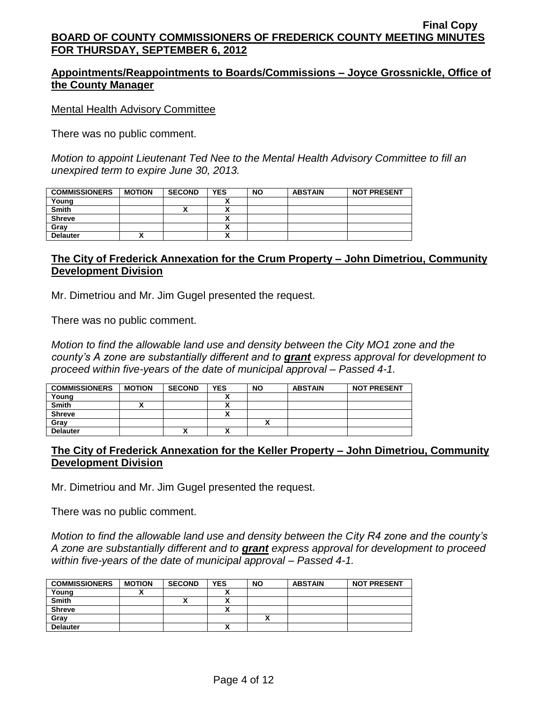## **Appointments/Reappointments to Boards/Commissions – Joyce Grossnickle, Office of the County Manager**

### Mental Health Advisory Committee

There was no public comment.

*Motion to appoint Lieutenant Ted Nee to the Mental Health Advisory Committee to fill an unexpired term to expire June 30, 2013.*

| <b>COMMISSIONERS</b> | <b>MOTION</b> | <b>SECOND</b> | <b>YES</b> | <b>NO</b> | <b>ABSTAIN</b> | <b>NOT PRESENT</b> |
|----------------------|---------------|---------------|------------|-----------|----------------|--------------------|
| Young                |               |               |            |           |                |                    |
| <b>Smith</b>         |               |               |            |           |                |                    |
| <b>Shreve</b>        |               |               |            |           |                |                    |
| Gray                 |               |               |            |           |                |                    |
| <b>Delauter</b>      |               |               | ~          |           |                |                    |

# **The City of Frederick Annexation for the Crum Property – John Dimetriou, Community Development Division**

Mr. Dimetriou and Mr. Jim Gugel presented the request.

There was no public comment.

*Motion to find the allowable land use and density between the City MO1 zone and the county's A zone are substantially different and to grant express approval for development to proceed within five-years of the date of municipal approval – Passed 4-1.*

| <b>COMMISSIONERS</b> | <b>MOTION</b> | <b>SECOND</b> | YES                  | <b>NO</b> | <b>ABSTAIN</b> | <b>NOT PRESENT</b> |
|----------------------|---------------|---------------|----------------------|-----------|----------------|--------------------|
| Young                |               |               |                      |           |                |                    |
| Smith                |               |               |                      |           |                |                    |
| <b>Shreve</b>        |               |               | $\ddot{\phantom{1}}$ |           |                |                    |
| Gray                 |               |               |                      |           |                |                    |
| <b>Delauter</b>      |               | ↗             | ^                    |           |                |                    |

## **The City of Frederick Annexation for the Keller Property – John Dimetriou, Community Development Division**

Mr. Dimetriou and Mr. Jim Gugel presented the request.

There was no public comment.

*Motion to find the allowable land use and density between the City R4 zone and the county's A zone are substantially different and to grant express approval for development to proceed within five-years of the date of municipal approval – Passed 4-1.*

| <b>COMMISSIONERS</b> | <b>MOTION</b> | <b>SECOND</b> | <b>YES</b> | <b>NO</b> | <b>ABSTAIN</b> | <b>NOT PRESENT</b> |
|----------------------|---------------|---------------|------------|-----------|----------------|--------------------|
| Young                |               |               |            |           |                |                    |
| <b>Smith</b>         |               | "             |            |           |                |                    |
| <b>Shreve</b>        |               |               |            |           |                |                    |
| Gray                 |               |               |            | ,,        |                |                    |
| <b>Delauter</b>      |               |               |            |           |                |                    |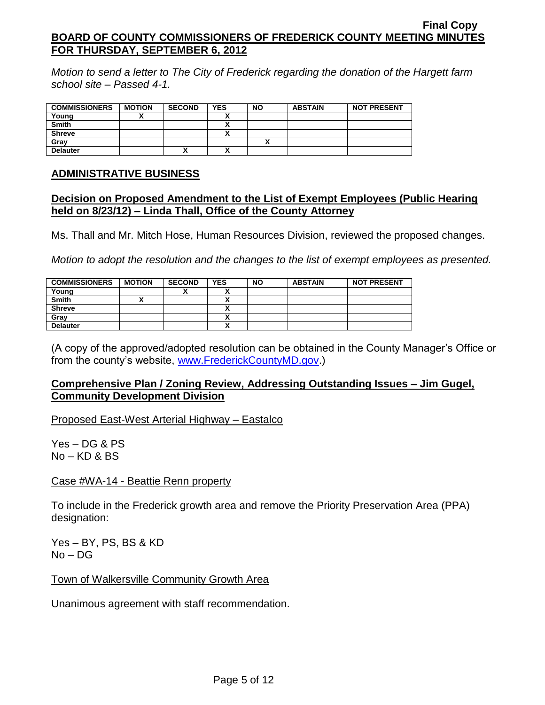*Motion to send a letter to The City of Frederick regarding the donation of the Hargett farm school site – Passed 4-1.*

| <b>COMMISSIONERS</b> | <b>MOTION</b> | <b>SECOND</b> | <b>YES</b>                | <b>NO</b> | <b>ABSTAIN</b> | <b>NOT PRESENT</b> |
|----------------------|---------------|---------------|---------------------------|-----------|----------------|--------------------|
| Young                |               |               |                           |           |                |                    |
| <b>Smith</b>         |               |               | $\ddot{\phantom{1}}$      |           |                |                    |
| <b>Shreve</b>        |               |               | `<br>^                    |           |                |                    |
| Gray                 |               |               |                           |           |                |                    |
| <b>Delauter</b>      |               | ↗             | $\ddot{\phantom{1}}$<br>^ |           |                |                    |

### **ADMINISTRATIVE BUSINESS**

### **Decision on Proposed Amendment to the List of Exempt Employees (Public Hearing held on 8/23/12) – Linda Thall, Office of the County Attorney**

Ms. Thall and Mr. Mitch Hose, Human Resources Division, reviewed the proposed changes.

*Motion to adopt the resolution and the changes to the list of exempt employees as presented.*

| <b>COMMISSIONERS</b> | <b>MOTION</b> | <b>SECOND</b> | <b>YES</b>   | <b>NO</b> | <b>ABSTAIN</b> | <b>NOT PRESENT</b> |
|----------------------|---------------|---------------|--------------|-----------|----------------|--------------------|
| Young                |               | ́             |              |           |                |                    |
| <b>Smith</b>         |               |               |              |           |                |                    |
| <b>Shreve</b>        |               |               |              |           |                |                    |
| Grav                 |               |               |              |           |                |                    |
| <b>Delauter</b>      |               |               | $\mathbf{v}$ |           |                |                    |

(A copy of the approved/adopted resolution can be obtained in the County Manager's Office or from the county's website, [www.FrederickCountyMD.gov.](http://www.frederickcountymd.gov/))

## **Comprehensive Plan / Zoning Review, Addressing Outstanding Issues – Jim Gugel, Community Development Division**

Proposed East-West Arterial Highway – Eastalco

Yes – DG & PS No – KD & BS

Case #WA-14 - Beattie Renn property

To include in the Frederick growth area and remove the Priority Preservation Area (PPA) designation:

Yes – BY, PS, BS & KD No – DG

Town of Walkersville Community Growth Area

Unanimous agreement with staff recommendation.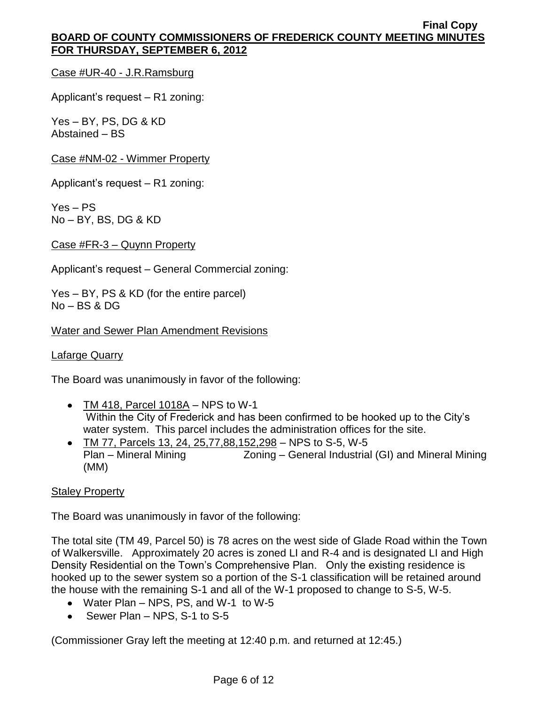Case #UR-40 - J.R.Ramsburg

Applicant's request – R1 zoning:

Yes – BY, PS, DG & KD Abstained – BS

Case #NM-02 - Wimmer Property

Applicant's request – R1 zoning:

Yes – PS No – BY, BS, DG & KD

Case #FR-3 – Quynn Property

Applicant's request – General Commercial zoning:

Yes – BY, PS & KD (for the entire parcel) No – BS & DG

#### Water and Sewer Plan Amendment Revisions

#### Lafarge Quarry

The Board was unanimously in favor of the following:

- $\bullet$  TM 418, Parcel 1018A NPS to W-1 Within the City of Frederick and has been confirmed to be hooked up to the City's water system. This parcel includes the administration offices for the site.
- TM 77, Parcels 13, 24, 25,77,88,152,298 NPS to S-5, W-5 Plan – Mineral Mining Zoning – General Industrial (GI) and Mineral Mining (MM)

#### **Staley Property**

The Board was unanimously in favor of the following:

The total site (TM 49, Parcel 50) is 78 acres on the west side of Glade Road within the Town of Walkersville. Approximately 20 acres is zoned LI and R-4 and is designated LI and High Density Residential on the Town's Comprehensive Plan. Only the existing residence is hooked up to the sewer system so a portion of the S-1 classification will be retained around the house with the remaining S-1 and all of the W-1 proposed to change to S-5, W-5.

- Water Plan NPS, PS, and W-1 to W-5
- $\bullet$  Sewer Plan NPS, S-1 to S-5

(Commissioner Gray left the meeting at 12:40 p.m. and returned at 12:45.)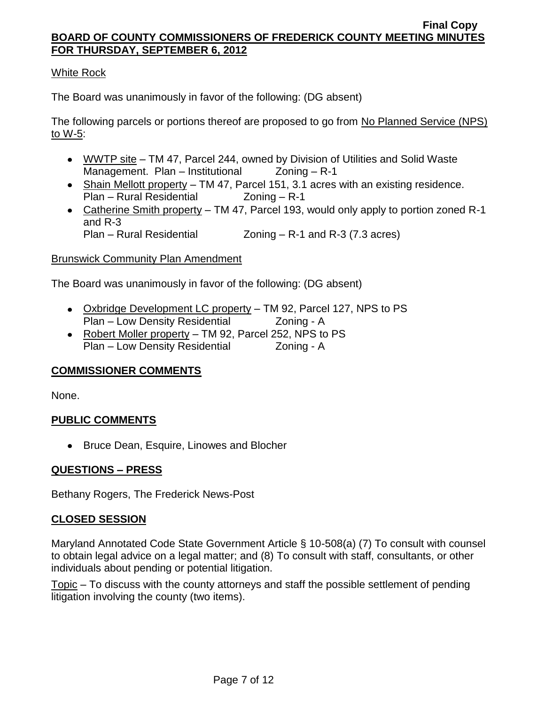# White Rock

The Board was unanimously in favor of the following: (DG absent)

The following parcels or portions thereof are proposed to go from No Planned Service (NPS) to W-5:

- WWTP site TM 47, Parcel 244, owned by Division of Utilities and Solid Waste Management. Plan – Institutional  $Z$ oning – R-1
- $\bullet$  Shain Mellott property TM 47, Parcel 151, 3.1 acres with an existing residence. Plan – Rural Residential Zoning – R-1
- Catherine Smith property TM 47, Parcel 193, would only apply to portion zoned R-1 and R-3 Plan – Rural Residential Zoning – R-1 and R-3 (7.3 acres)

## Brunswick Community Plan Amendment

The Board was unanimously in favor of the following: (DG absent)

- Oxbridge Development LC property TM 92, Parcel 127, NPS to PS Plan – Low Density Residential Zoning - A
- Robert Moller property TM 92, Parcel 252, NPS to PS Plan – Low Density Residential Zoning - A

## **COMMISSIONER COMMENTS**

None.

## **PUBLIC COMMENTS**

• Bruce Dean, Esquire, Linowes and Blocher

## **QUESTIONS – PRESS**

Bethany Rogers, The Frederick News-Post

## **CLOSED SESSION**

Maryland Annotated Code State Government Article § 10-508(a) (7) To consult with counsel to obtain legal advice on a legal matter; and (8) To consult with staff, consultants, or other individuals about pending or potential litigation.

Topic – To discuss with the county attorneys and staff the possible settlement of pending litigation involving the county (two items).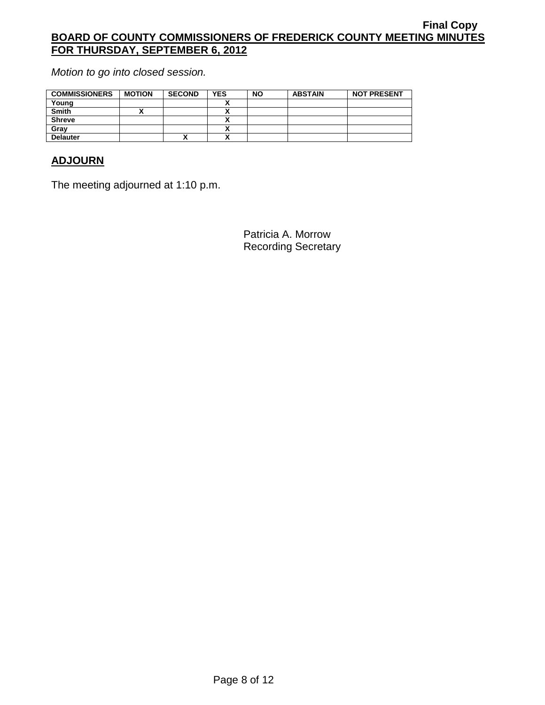*Motion to go into closed session.*

| <b>COMMISSIONERS</b> | <b>MOTION</b> | <b>SECOND</b> | <b>YES</b>                | <b>NO</b> | <b>ABSTAIN</b> | <b>NOT PRESENT</b> |
|----------------------|---------------|---------------|---------------------------|-----------|----------------|--------------------|
| Young                |               |               |                           |           |                |                    |
| Smith                |               |               | $\boldsymbol{\mathsf{r}}$ |           |                |                    |
| <b>Shreve</b>        |               |               |                           |           |                |                    |
| Gray                 |               |               | Λ                         |           |                |                    |
| <b>Delauter</b>      |               | $\mathbf{v}$  | $\boldsymbol{\mathsf{r}}$ |           |                |                    |

# **ADJOURN**

The meeting adjourned at 1:10 p.m.

Patricia A. Morrow Recording Secretary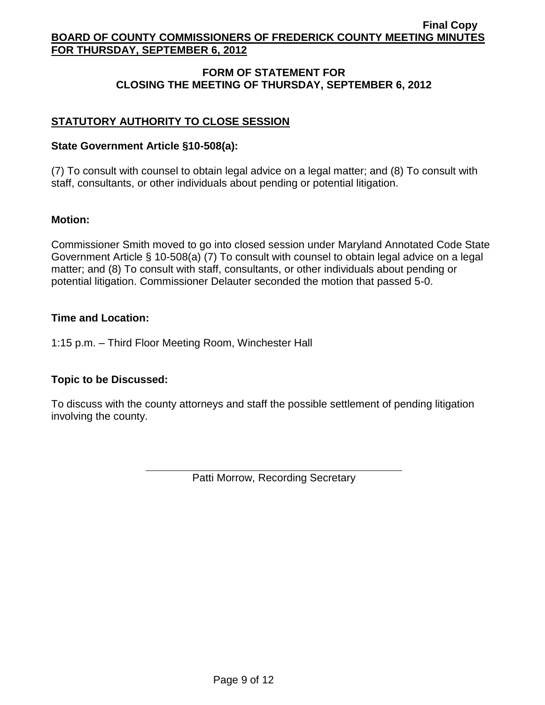# **FORM OF STATEMENT FOR CLOSING THE MEETING OF THURSDAY, SEPTEMBER 6, 2012**

# **STATUTORY AUTHORITY TO CLOSE SESSION**

## **State Government Article §10-508(a):**

(7) To consult with counsel to obtain legal advice on a legal matter; and (8) To consult with staff, consultants, or other individuals about pending or potential litigation.

## **Motion:**

Commissioner Smith moved to go into closed session under Maryland Annotated Code State Government Article § 10-508(a) (7) To consult with counsel to obtain legal advice on a legal matter; and (8) To consult with staff, consultants, or other individuals about pending or potential litigation. Commissioner Delauter seconded the motion that passed 5-0.

## **Time and Location:**

1:15 p.m. – Third Floor Meeting Room, Winchester Hall

# **Topic to be Discussed:**

To discuss with the county attorneys and staff the possible settlement of pending litigation involving the county.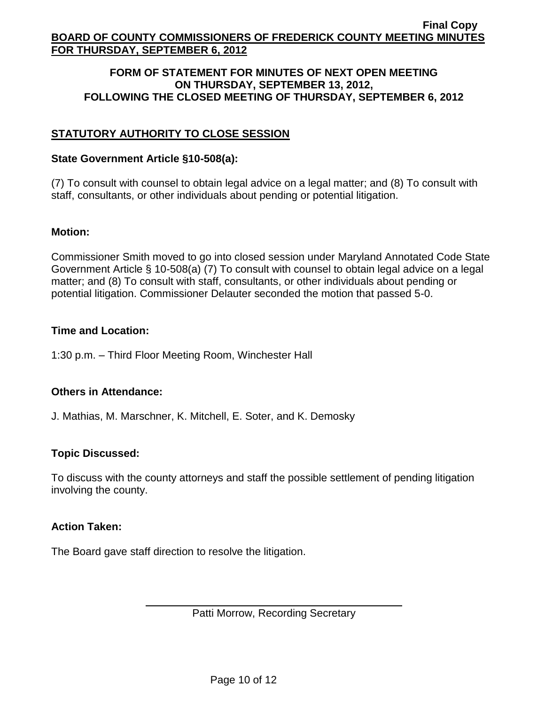### **FORM OF STATEMENT FOR MINUTES OF NEXT OPEN MEETING ON THURSDAY, SEPTEMBER 13, 2012, FOLLOWING THE CLOSED MEETING OF THURSDAY, SEPTEMBER 6, 2012**

# **STATUTORY AUTHORITY TO CLOSE SESSION**

### **State Government Article §10-508(a):**

(7) To consult with counsel to obtain legal advice on a legal matter; and (8) To consult with staff, consultants, or other individuals about pending or potential litigation.

### **Motion:**

Commissioner Smith moved to go into closed session under Maryland Annotated Code State Government Article § 10-508(a) (7) To consult with counsel to obtain legal advice on a legal matter; and (8) To consult with staff, consultants, or other individuals about pending or potential litigation. Commissioner Delauter seconded the motion that passed 5-0.

### **Time and Location:**

1:30 p.m. – Third Floor Meeting Room, Winchester Hall

## **Others in Attendance:**

J. Mathias, M. Marschner, K. Mitchell, E. Soter, and K. Demosky

## **Topic Discussed:**

To discuss with the county attorneys and staff the possible settlement of pending litigation involving the county.

#### **Action Taken:**

The Board gave staff direction to resolve the litigation.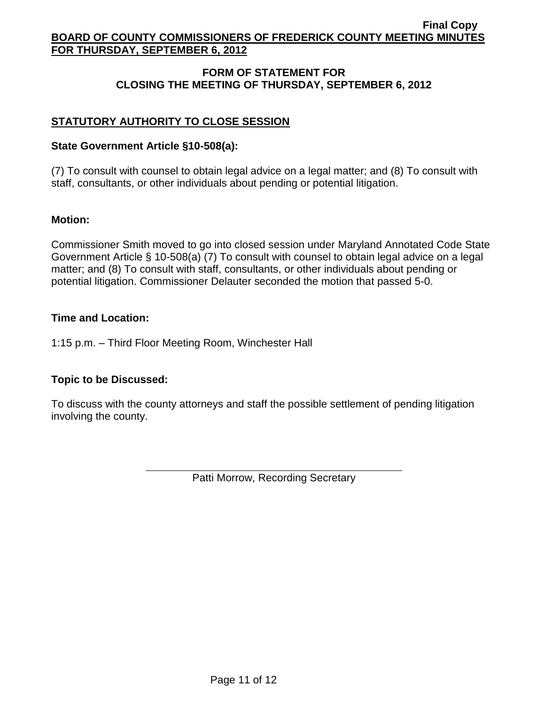# **FORM OF STATEMENT FOR CLOSING THE MEETING OF THURSDAY, SEPTEMBER 6, 2012**

# **STATUTORY AUTHORITY TO CLOSE SESSION**

## **State Government Article §10-508(a):**

(7) To consult with counsel to obtain legal advice on a legal matter; and (8) To consult with staff, consultants, or other individuals about pending or potential litigation.

## **Motion:**

Commissioner Smith moved to go into closed session under Maryland Annotated Code State Government Article § 10-508(a) (7) To consult with counsel to obtain legal advice on a legal matter; and (8) To consult with staff, consultants, or other individuals about pending or potential litigation. Commissioner Delauter seconded the motion that passed 5-0.

## **Time and Location:**

1:15 p.m. – Third Floor Meeting Room, Winchester Hall

# **Topic to be Discussed:**

To discuss with the county attorneys and staff the possible settlement of pending litigation involving the county.